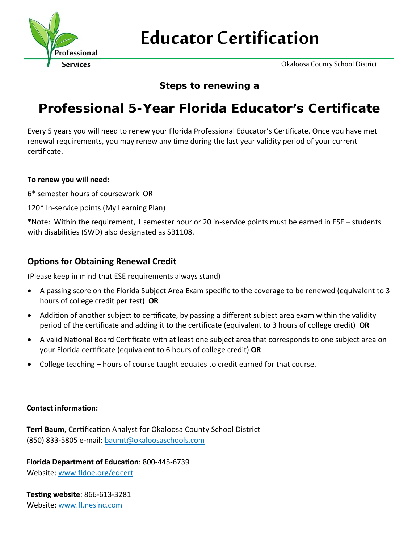

# **Educator Certification**

Okaloosa County School District

## **Steps to renewing a**

# **Professional 5-Year Florida Educator's Certificate**

Every 5 years you will need to renew your Florida Professional Educator's Certificate. Once you have met renewal requirements, you may renew any time during the last year validity period of your current certificate.

### **To renew you will need:**

- 6\* semester hours of coursework OR
- 120\* In‐service points (My Learning Plan)

\*Note: Within the requirement, 1 semester hour or 20 in‐service points must be earned in ESE – students with disabilities (SWD) also designated as SB1108.

### **OpƟons for Obtaining Renewal Credit**

(Please keep in mind that ESE requirements always stand)

- A passing score on the Florida Subject Area Exam specific to the coverage to be renewed (equivalent to 3 hours of college credit per test) **OR**
- Addition of another subject to certificate, by passing a different subject area exam within the validity period of the cerƟficate and adding it to the cerƟficate (equivalent to 3 hours of college credit) **OR**
- A valid National Board Certificate with at least one subject area that corresponds to one subject area on your Florida cerƟficate (equivalent to 6 hours of college credit) **OR**
- College teaching hours of course taught equates to credit earned for that course.

### **Contact informaƟon:**

**Terri Baum, Certification Analyst for Okaloosa County School District** (850) 833‐5805 e‐mail: baumt@okaloosaschools.com

**Florida Department of EducaƟon**: 800‐445‐6739 Website: www.fldoe.org/edcert

**TesƟng website**: 866‐613‐3281 Website: www.fl.nesinc.com